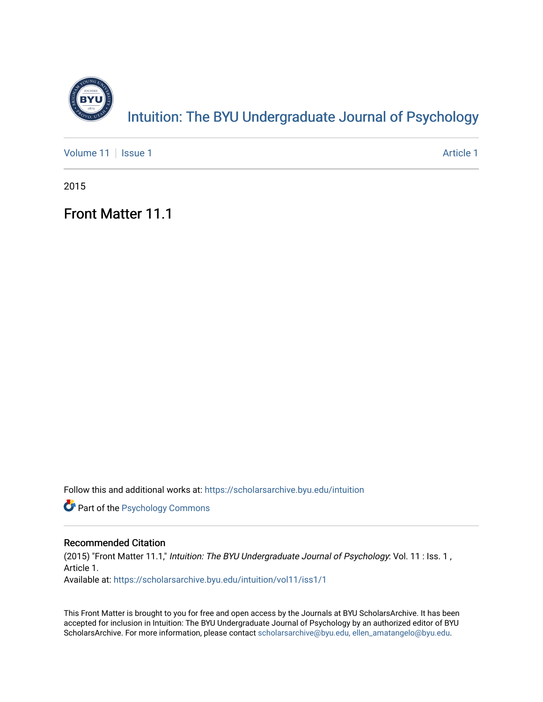

## Intuition: The BY[U Undergraduate Journal of Psy](https://scholarsarchive.byu.edu/intuition)chology

[Volume 11](https://scholarsarchive.byu.edu/intuition/vol11) | [Issue 1](https://scholarsarchive.byu.edu/intuition/vol11/iss1) Article 1

2015

Front Matter 11.1

Follow this and additional works at: [https://scholarsarchive.byu.edu/intuition](https://scholarsarchive.byu.edu/intuition?utm_source=scholarsarchive.byu.edu%2Fintuition%2Fvol11%2Fiss1%2F1&utm_medium=PDF&utm_campaign=PDFCoverPages) 

**Part of the Psychology Commons** 

#### Recommended Citation

(2015) "Front Matter 11.1," Intuition: The BYU Undergraduate Journal of Psychology: Vol. 11 : Iss. 1, Article 1. Available at: [https://scholarsarchive.byu.edu/intuition/vol11/iss1/1](https://scholarsarchive.byu.edu/intuition/vol11/iss1/1?utm_source=scholarsarchive.byu.edu%2Fintuition%2Fvol11%2Fiss1%2F1&utm_medium=PDF&utm_campaign=PDFCoverPages) 

This Front Matter is brought to you for free and open access by the Journals at BYU ScholarsArchive. It has been accepted for inclusion in Intuition: The BYU Undergraduate Journal of Psychology by an authorized editor of BYU ScholarsArchive. For more information, please contact [scholarsarchive@byu.edu, ellen\\_amatangelo@byu.edu.](mailto:scholarsarchive@byu.edu,%20ellen_amatangelo@byu.edu)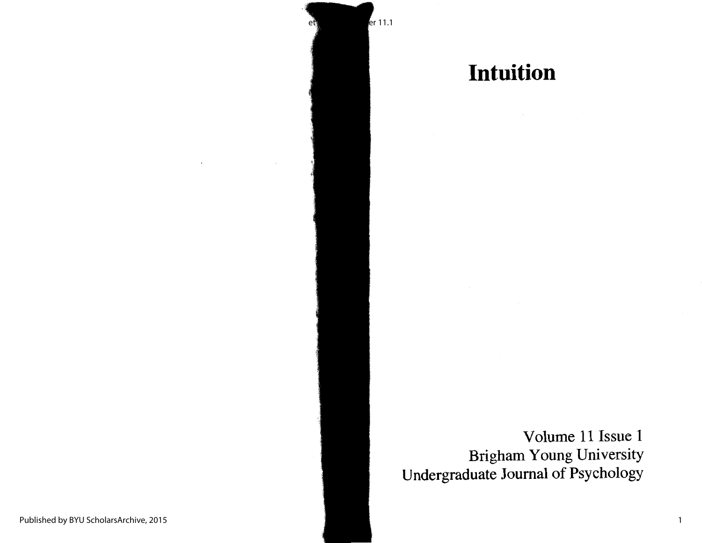

# **Intuition**

Volume 11 Issue 1 Brigham Young University Undergraduate Journal of Psychology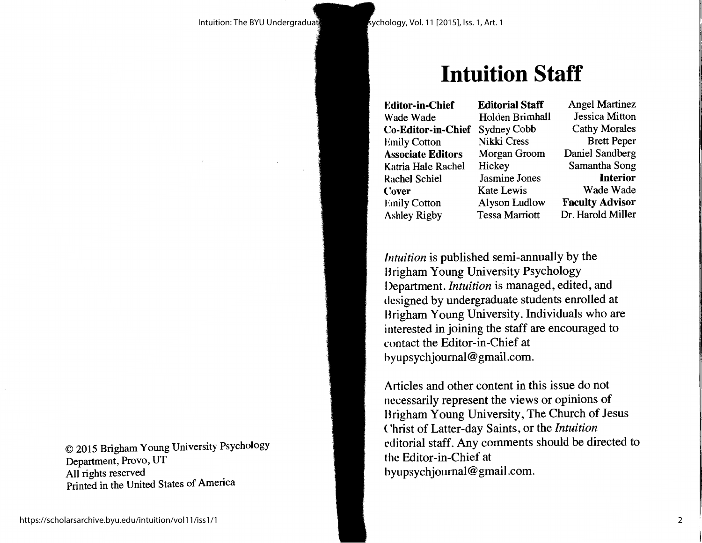# **Intuition Staff**

**Editor-in-Chief** Wade Wade **Co-Editor-in-Chief** Sydney Cobb Emily Cotton **Associate Editors** Katria Hale Rachel Rachel Schiel **('.over Emily Cotton** Ashley Rigby

**Editorial Staff** Holden Brimhall **Nikki** Cress Morgan Groom Hickey Jasmine Jones Kate Lewis Alyson Ludlow Tessa Marriott

Angel Martinez Jessica Mitton Cathy Morales Brett Peper Daniel Sandberg Samantha Song **Interior** Wade Wade **Faculty Advisor**  Dr. Harold Miller

*Intuition* is published semi-annually by the Brigham Young University Psychology I )epartment. *Intuition* is managed, edited, and designed by undergraduate students enrolled at Brigham Young University. Individuals who are interested in joining the staff are encouraged to l'ontact the Editor-in-Chief at hyupsychjoumal@gmail.com.

Articles and other content in this issue do not necessarily represent the views or opinions of Brigham Young University, The Church of Jesus <sup>&</sup>lt;'hrist of Latter-day Saints, or the *Intuition*  editorial staff. Any comments should be directed to the Editor-in-Chief at hyupsychjoumal@gmail.com.

© 2015 Brigham Young University Psychology Department, Provo, UT All rights reserved Printed in the United States of America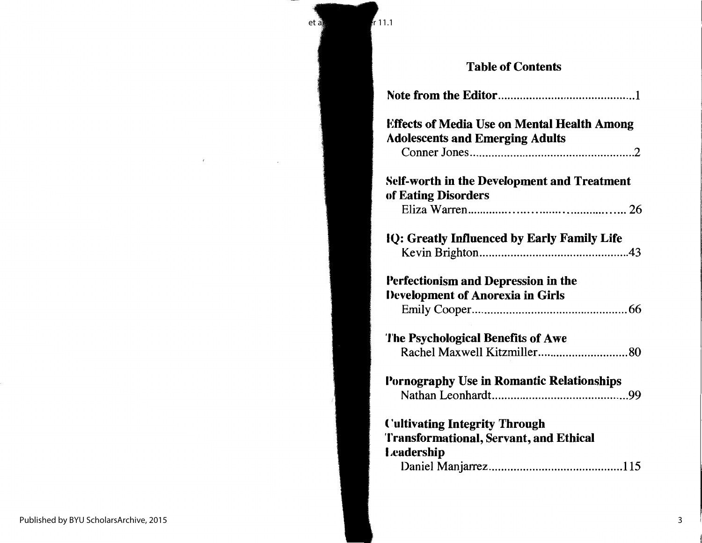et al.: Fr

#### Table of Contents

| <b>Effects of Media Use on Mental Health Among</b><br><b>Adolescents and Emerging Adults</b>        |
|-----------------------------------------------------------------------------------------------------|
| Self-worth in the Development and Treatment<br>of Eating Disorders                                  |
| IQ: Greatly Influenced by Early Family Life                                                         |
| Perfectionism and Depression in the<br>Development of Anorexia in Girls                             |
| The Psychological Benefits of Awe                                                                   |
| Pornography Use in Romantic Relationships                                                           |
| <b>Cultivating Integrity Through</b><br>Transformational, Servant, and Ethical<br><b>Leadership</b> |